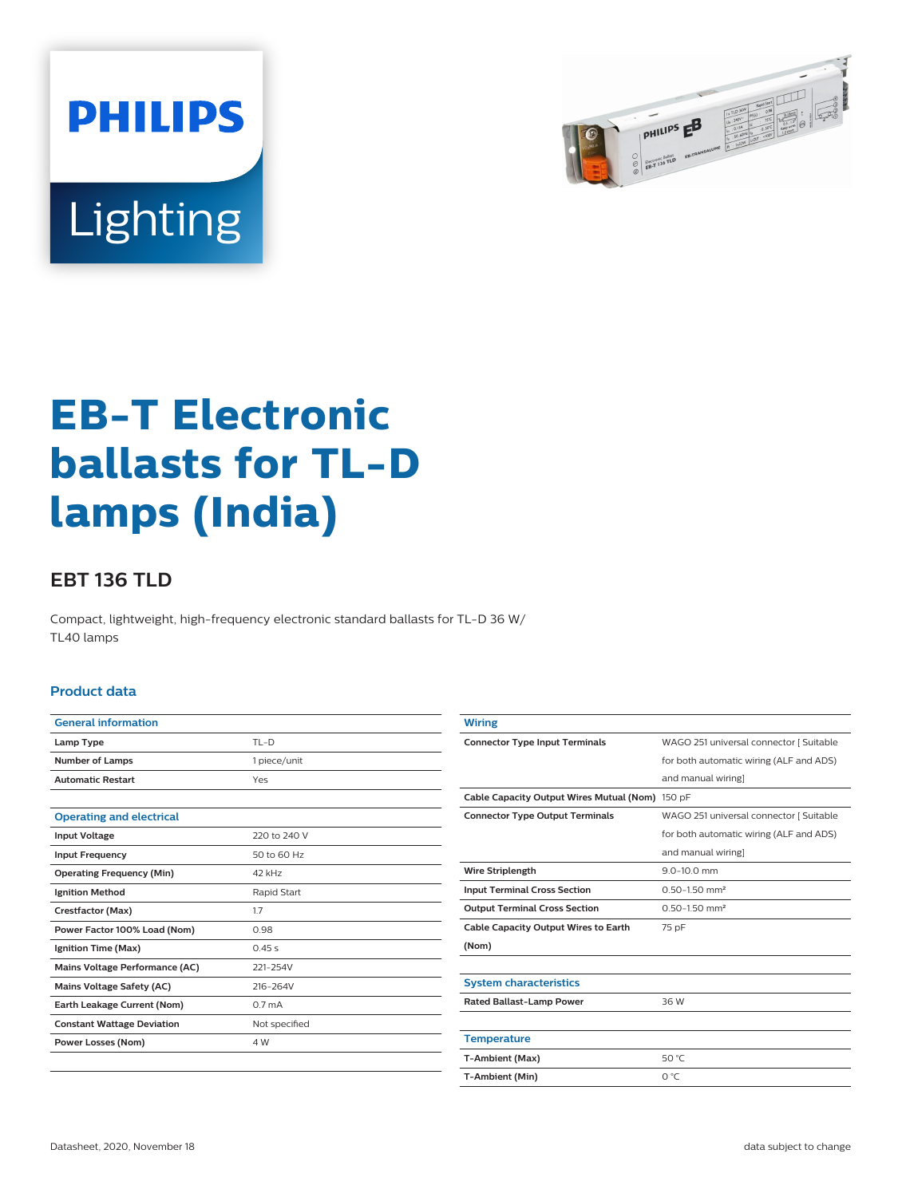



# **EB-T Electronic ballasts for TL-D lamps (India)**

## **EBT 136 TLD**

Compact, lightweight, high-frequency electronic standard ballasts for TL-D 36 W/ TL40 lamps

### **Product data**

| <b>General information</b>        |                    |  |  |  |
|-----------------------------------|--------------------|--|--|--|
| Lamp Type                         | $TL-D$             |  |  |  |
| <b>Number of Lamps</b>            | 1 piece/unit       |  |  |  |
| <b>Automatic Restart</b>          | Yes                |  |  |  |
|                                   |                    |  |  |  |
| <b>Operating and electrical</b>   |                    |  |  |  |
| <b>Input Voltage</b>              | 220 to 240 V       |  |  |  |
| <b>Input Frequency</b>            | 50 to 60 Hz        |  |  |  |
| <b>Operating Frequency (Min)</b>  | 42 kHz             |  |  |  |
| <b>Ignition Method</b>            | Rapid Start        |  |  |  |
| Crestfactor (Max)                 | 1.7                |  |  |  |
| Power Factor 100% Load (Nom)      | 0.98               |  |  |  |
| Ignition Time (Max)               | 0.45s              |  |  |  |
| Mains Voltage Performance (AC)    | 221-254V           |  |  |  |
| <b>Mains Voltage Safety (AC)</b>  | 216-264V           |  |  |  |
| Earth Leakage Current (Nom)       | 0.7 <sub>m</sub> A |  |  |  |
| <b>Constant Wattage Deviation</b> | Not specified      |  |  |  |
| Power Losses (Nom)                | 4 W                |  |  |  |
|                                   |                    |  |  |  |

| Wiring                                          |                                         |  |  |
|-------------------------------------------------|-----------------------------------------|--|--|
| <b>Connector Type Input Terminals</b>           | WAGO 251 universal connector [ Suitable |  |  |
|                                                 | for both automatic wiring (ALF and ADS) |  |  |
|                                                 | and manual wiring]                      |  |  |
| Cable Capacity Output Wires Mutual (Nom) 150 pF |                                         |  |  |
| <b>Connector Type Output Terminals</b>          | WAGO 251 universal connector [ Suitable |  |  |
|                                                 | for both automatic wiring (ALF and ADS) |  |  |
|                                                 | and manual wiring]                      |  |  |
| <b>Wire Striplength</b>                         | $9.0 - 10.0$ mm                         |  |  |
| <b>Input Terminal Cross Section</b>             | $0.50 - 1.50$ mm <sup>2</sup>           |  |  |
| <b>Output Terminal Cross Section</b>            | $0.50 - 1.50$ mm <sup>2</sup>           |  |  |
| <b>Cable Capacity Output Wires to Earth</b>     | 75 pF                                   |  |  |
| (Nom)                                           |                                         |  |  |
|                                                 |                                         |  |  |
| <b>System characteristics</b>                   |                                         |  |  |
| <b>Rated Ballast-Lamp Power</b>                 | 36 W                                    |  |  |
|                                                 |                                         |  |  |
| <b>Temperature</b>                              |                                         |  |  |
| T-Ambient (Max)                                 | 50 °C                                   |  |  |
| T-Ambient (Min)                                 | O °C                                    |  |  |
|                                                 |                                         |  |  |